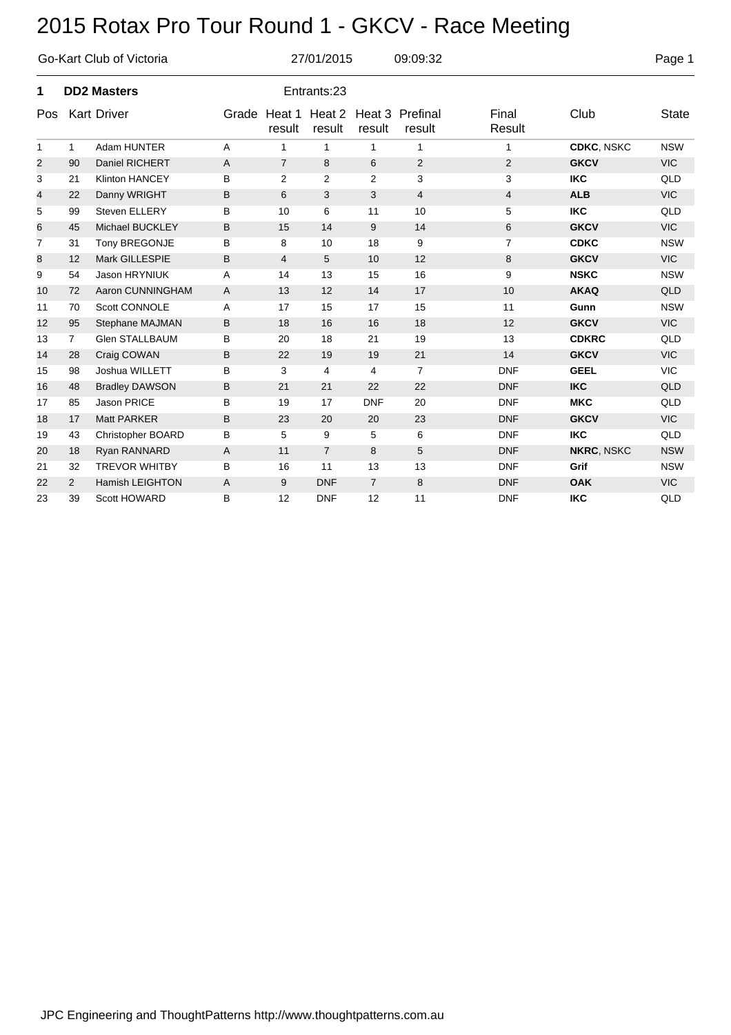|                |                | Go-Kart Club of Victoria |   | 27/01/2015<br>09:09:32 |                  |                |                           |                 |                   |              |  |  |
|----------------|----------------|--------------------------|---|------------------------|------------------|----------------|---------------------------|-----------------|-------------------|--------------|--|--|
| 1              |                | <b>DD2 Masters</b>       |   | Entrants:23            |                  |                |                           |                 |                   |              |  |  |
| Pos            |                | <b>Kart Driver</b>       |   | Grade Heat 1<br>result | Heat 2<br>result | result         | Heat 3 Prefinal<br>result | Final<br>Result | Club              | <b>State</b> |  |  |
| $\mathbf{1}$   | $\mathbf{1}$   | Adam HUNTER              | A | $\mathbf{1}$           | 1                | 1              | $\mathbf{1}$              | 1               | <b>CDKC, NSKC</b> | <b>NSW</b>   |  |  |
| $\overline{2}$ | 90             | Daniel RICHERT           | Α | $\overline{7}$         | 8                | 6              | $\overline{2}$            | $\overline{2}$  | <b>GKCV</b>       | <b>VIC</b>   |  |  |
| 3              | 21             | <b>Klinton HANCEY</b>    | B | 2                      | $\overline{2}$   | $\overline{2}$ | 3                         | 3               | <b>IKC</b>        | QLD          |  |  |
| 4              | 22             | Danny WRIGHT             | B | 6                      | 3                | 3              | $\overline{4}$            | $\overline{4}$  | <b>ALB</b>        | <b>VIC</b>   |  |  |
| 5              | 99             | <b>Steven ELLERY</b>     | B | 10                     | 6                | 11             | 10                        | 5               | <b>IKC</b>        | QLD          |  |  |
| 6              | 45             | Michael BUCKLEY          | B | 15                     | 14               | 9              | 14                        | 6               | <b>GKCV</b>       | <b>VIC</b>   |  |  |
| $\overline{7}$ | 31             | Tony BREGONJE            | B | 8                      | 10               | 18             | 9                         | $\overline{7}$  | <b>CDKC</b>       | <b>NSW</b>   |  |  |
| 8              | 12             | Mark GILLESPIE           | B | 4                      | 5                | 10             | 12                        | 8               | <b>GKCV</b>       | <b>VIC</b>   |  |  |
| 9              | 54             | Jason HRYNIUK            | A | 14                     | 13               | 15             | 16                        | 9               | <b>NSKC</b>       | <b>NSW</b>   |  |  |
| 10             | 72             | Aaron CUNNINGHAM         | A | 13                     | 12               | 14             | 17                        | 10              | <b>AKAQ</b>       | QLD          |  |  |
| 11             | 70             | Scott CONNOLE            | A | 17                     | 15               | 17             | 15                        | 11              | Gunn              | <b>NSW</b>   |  |  |
| 12             | 95             | Stephane MAJMAN          | B | 18                     | 16               | 16             | 18                        | 12              | <b>GKCV</b>       | <b>VIC</b>   |  |  |
| 13             | $\overline{7}$ | <b>Glen STALLBAUM</b>    | B | 20                     | 18               | 21             | 19                        | 13              | <b>CDKRC</b>      | QLD          |  |  |
| 14             | 28             | Craig COWAN              | B | 22                     | 19               | 19             | 21                        | 14              | <b>GKCV</b>       | <b>VIC</b>   |  |  |
| 15             | 98             | Joshua WILLETT           | B | 3                      | 4                | 4              | $\overline{7}$            | <b>DNF</b>      | <b>GEEL</b>       | <b>VIC</b>   |  |  |
| 16             | 48             | <b>Bradley DAWSON</b>    | B | 21                     | 21               | 22             | 22                        | <b>DNF</b>      | <b>IKC</b>        | QLD          |  |  |
| 17             | 85             | Jason PRICE              | B | 19                     | 17               | <b>DNF</b>     | 20                        | <b>DNF</b>      | <b>MKC</b>        | QLD          |  |  |
| 18             | 17             | <b>Matt PARKER</b>       | B | 23                     | 20               | 20             | 23                        | <b>DNF</b>      | <b>GKCV</b>       | <b>VIC</b>   |  |  |
| 19             | 43             | <b>Christopher BOARD</b> | B | 5                      | 9                | 5              | 6                         | <b>DNF</b>      | <b>IKC</b>        | QLD          |  |  |
| 20             | 18             | Ryan RANNARD             | Α | 11                     | $\overline{7}$   | 8              | 5                         | <b>DNF</b>      | <b>NKRC, NSKC</b> | <b>NSW</b>   |  |  |
| 21             | 32             | <b>TREVOR WHITBY</b>     | B | 16                     | 11               | 13             | 13                        | <b>DNF</b>      | Grif              | <b>NSW</b>   |  |  |
| 22             | 2              | <b>Hamish LEIGHTON</b>   | Α | 9                      | <b>DNF</b>       | $\overline{7}$ | 8                         | <b>DNF</b>      | <b>OAK</b>        | <b>VIC</b>   |  |  |
| 23             | 39             | Scott HOWARD             | B | 12                     | <b>DNF</b>       | 12             | 11                        | <b>DNF</b>      | <b>IKC</b>        | QLD          |  |  |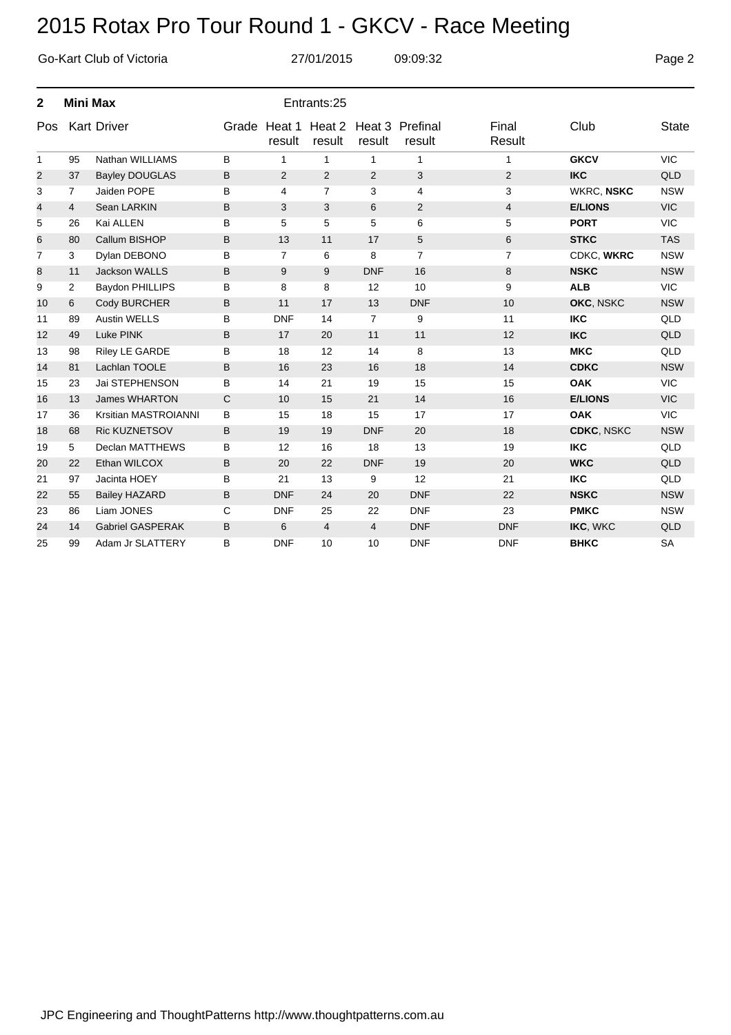|                |                 | Go-Kart Club of Victoria |   |                        | 27/01/2015     |                | 09:09:32                         |                 | Page 2            |              |
|----------------|-----------------|--------------------------|---|------------------------|----------------|----------------|----------------------------------|-----------------|-------------------|--------------|
| $\mathbf{2}$   | <b>Mini Max</b> |                          |   |                        | Entrants:25    |                |                                  |                 |                   |              |
| Pos            |                 | <b>Kart Driver</b>       |   | Grade Heat 1<br>result | result         | result         | Heat 2 Heat 3 Prefinal<br>result | Final<br>Result | Club              | <b>State</b> |
| $\mathbf{1}$   | 95              | Nathan WILLIAMS          | B | $\mathbf{1}$           | $\mathbf{1}$   | $\mathbf{1}$   | $\mathbf{1}$                     | $\mathbf{1}$    | <b>GKCV</b>       | <b>VIC</b>   |
| 2              | 37              | <b>Bayley DOUGLAS</b>    | B | $\overline{2}$         | $\overline{2}$ | $\overline{2}$ | 3                                | $\overline{2}$  | <b>IKC</b>        | QLD          |
| 3              | $\overline{7}$  | Jaiden POPE              | B | 4                      | $\overline{7}$ | 3              | 4                                | 3               | <b>WKRC, NSKC</b> | <b>NSW</b>   |
| 4              | $\overline{4}$  | Sean LARKIN              | B | 3                      | 3              | 6              | 2                                | 4               | <b>E/LIONS</b>    | <b>VIC</b>   |
| 5              | 26              | Kai ALLEN                | B | 5                      | 5              | 5              | 6                                | 5               | <b>PORT</b>       | <b>VIC</b>   |
| 6              | 80              | Callum BISHOP            | B | 13                     | 11             | 17             | 5                                | 6               | <b>STKC</b>       | <b>TAS</b>   |
| $\overline{7}$ | 3               | Dylan DEBONO             | B | $\overline{7}$         | 6              | 8              | $\overline{7}$                   | $\overline{7}$  | CDKC, WKRC        | <b>NSW</b>   |
| 8              | 11              | <b>Jackson WALLS</b>     | B | 9                      | 9              | <b>DNF</b>     | 16                               | 8               | <b>NSKC</b>       | <b>NSW</b>   |
| 9              | $\overline{2}$  | Baydon PHILLIPS          | B | 8                      | 8              | 12             | 10                               | 9               | <b>ALB</b>        | <b>VIC</b>   |
| 10             | 6               | Cody BURCHER             | B | 11                     | 17             | 13             | <b>DNF</b>                       | 10              | OKC, NSKC         | <b>NSW</b>   |
| 11             | 89              | <b>Austin WELLS</b>      | B | <b>DNF</b>             | 14             | $\overline{7}$ | 9                                | 11              | <b>IKC</b>        | QLD          |
| 12             | 49              | Luke PINK                | B | 17                     | 20             | 11             | 11                               | 12              | <b>IKC</b>        | <b>QLD</b>   |
| 13             | 98              | Riley LE GARDE           | B | 18                     | 12             | 14             | 8                                | 13              | <b>MKC</b>        | QLD          |
| 14             | 81              | Lachlan TOOLE            | B | 16                     | 23             | 16             | 18                               | 14              | <b>CDKC</b>       | <b>NSW</b>   |
| 15             | 23              | Jai STEPHENSON           | B | 14                     | 21             | 19             | 15                               | 15              | <b>OAK</b>        | <b>VIC</b>   |
| 16             | 13              | <b>James WHARTON</b>     | C | 10                     | 15             | 21             | 14                               | 16              | <b>E/LIONS</b>    | <b>VIC</b>   |
| 17             | 36              | Krsitian MASTROIANNI     | B | 15                     | 18             | 15             | 17                               | 17              | <b>OAK</b>        | <b>VIC</b>   |
| 18             | 68              | <b>Ric KUZNETSOV</b>     | B | 19                     | 19             | <b>DNF</b>     | 20                               | 18              | <b>CDKC, NSKC</b> | <b>NSW</b>   |
| 19             | 5               | Declan MATTHEWS          | В | 12                     | 16             | 18             | 13                               | 19              | <b>IKC</b>        | QLD          |
| 20             | 22              | Ethan WILCOX             | B | 20                     | 22             | <b>DNF</b>     | 19                               | 20              | <b>WKC</b>        | QLD          |
| 21             | 97              | Jacinta HOEY             | B | 21                     | 13             | 9              | 12                               | 21              | <b>IKC</b>        | QLD          |
| 22             | 55              | <b>Bailey HAZARD</b>     | B | <b>DNF</b>             | 24             | 20             | <b>DNF</b>                       | 22              | <b>NSKC</b>       | <b>NSW</b>   |
| 23             | 86              | Liam JONES               | C | <b>DNF</b>             | 25             | 22             | <b>DNF</b>                       | 23              | <b>PMKC</b>       | <b>NSW</b>   |
| 24             | 14              | <b>Gabriel GASPERAK</b>  | B | 6                      | 4              | 4              | <b>DNF</b>                       | <b>DNF</b>      | IKC, WKC          | QLD          |
| 25             | 99              | Adam Jr SLATTERY         | B | <b>DNF</b>             | 10             | 10             | <b>DNF</b>                       | <b>DNF</b>      | <b>BHKC</b>       | <b>SA</b>    |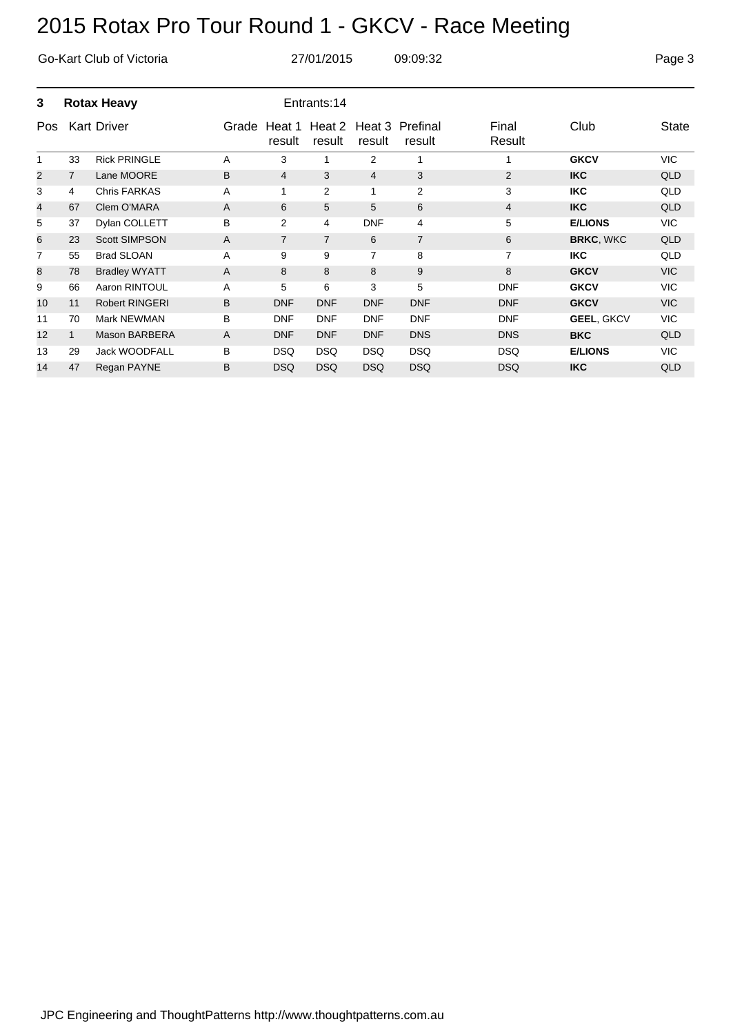| Go-Kart Club of Victoria |                    |                       |       |                  | 27/01/2015       |                | 09:09:32                  |                 |                   | Page 3     |
|--------------------------|--------------------|-----------------------|-------|------------------|------------------|----------------|---------------------------|-----------------|-------------------|------------|
| 3                        | <b>Rotax Heavy</b> |                       |       |                  | Entrants:14      |                |                           |                 |                   |            |
| Pos                      |                    | <b>Kart Driver</b>    | Grade | Heat 1<br>result | Heat 2<br>result | result         | Heat 3 Prefinal<br>result | Final<br>Result | Club              | State      |
| 1                        | 33                 | <b>Rick PRINGLE</b>   | A     | 3                | 1                | 2              | 1                         | 1               | <b>GKCV</b>       | <b>VIC</b> |
| $\overline{2}$           | $\overline{7}$     | Lane MOORE            | B     | 4                | 3                | $\overline{4}$ | 3                         | $\overline{2}$  | <b>IKC</b>        | QLD        |
| 3                        | 4                  | <b>Chris FARKAS</b>   | A     | 1                | 2                | 1              | $\overline{2}$            | 3               | <b>IKC</b>        | QLD        |
| 4                        | 67                 | Clem O'MARA           | A     | 6                | 5                | 5              | 6                         | $\overline{4}$  | <b>IKC</b>        | QLD        |
| 5                        | 37                 | Dylan COLLETT         | B     | $\overline{2}$   | 4                | <b>DNF</b>     | 4                         | 5               | <b>E/LIONS</b>    | <b>VIC</b> |
| 6                        | 23                 | <b>Scott SIMPSON</b>  | A     | $\overline{7}$   | $\overline{7}$   | 6              | $\overline{7}$            | 6               | <b>BRKC, WKC</b>  | QLD        |
| 7                        | 55                 | <b>Brad SLOAN</b>     | A     | 9                | 9                | $\overline{7}$ | 8                         | $\overline{7}$  | <b>IKC</b>        | QLD        |
| 8                        | 78                 | <b>Bradley WYATT</b>  | A     | 8                | 8                | 8              | 9                         | 8               | <b>GKCV</b>       | <b>VIC</b> |
| 9                        | 66                 | Aaron RINTOUL         | A     | 5                | 6                | 3              | 5                         | <b>DNF</b>      | <b>GKCV</b>       | <b>VIC</b> |
| 10                       | 11                 | <b>Robert RINGERI</b> | B     | <b>DNF</b>       | <b>DNF</b>       | <b>DNF</b>     | <b>DNF</b>                | <b>DNF</b>      | <b>GKCV</b>       | <b>VIC</b> |
| 11                       | 70                 | Mark NEWMAN           | В     | <b>DNF</b>       | <b>DNF</b>       | <b>DNF</b>     | <b>DNF</b>                | <b>DNF</b>      | <b>GEEL, GKCV</b> | <b>VIC</b> |
| 12                       | $\mathbf{1}$       | <b>Mason BARBERA</b>  | A     | <b>DNF</b>       | <b>DNF</b>       | <b>DNF</b>     | <b>DNS</b>                | <b>DNS</b>      | <b>BKC</b>        | QLD        |
| 13                       | 29                 | <b>Jack WOODFALL</b>  | B     | <b>DSQ</b>       | <b>DSQ</b>       | <b>DSQ</b>     | <b>DSQ</b>                | <b>DSQ</b>      | <b>E/LIONS</b>    | <b>VIC</b> |
| 14                       | 47                 | Regan PAYNE           | B     | <b>DSQ</b>       | <b>DSQ</b>       | <b>DSQ</b>     | <b>DSQ</b>                | <b>DSQ</b>      | <b>IKC</b>        | <b>QLD</b> |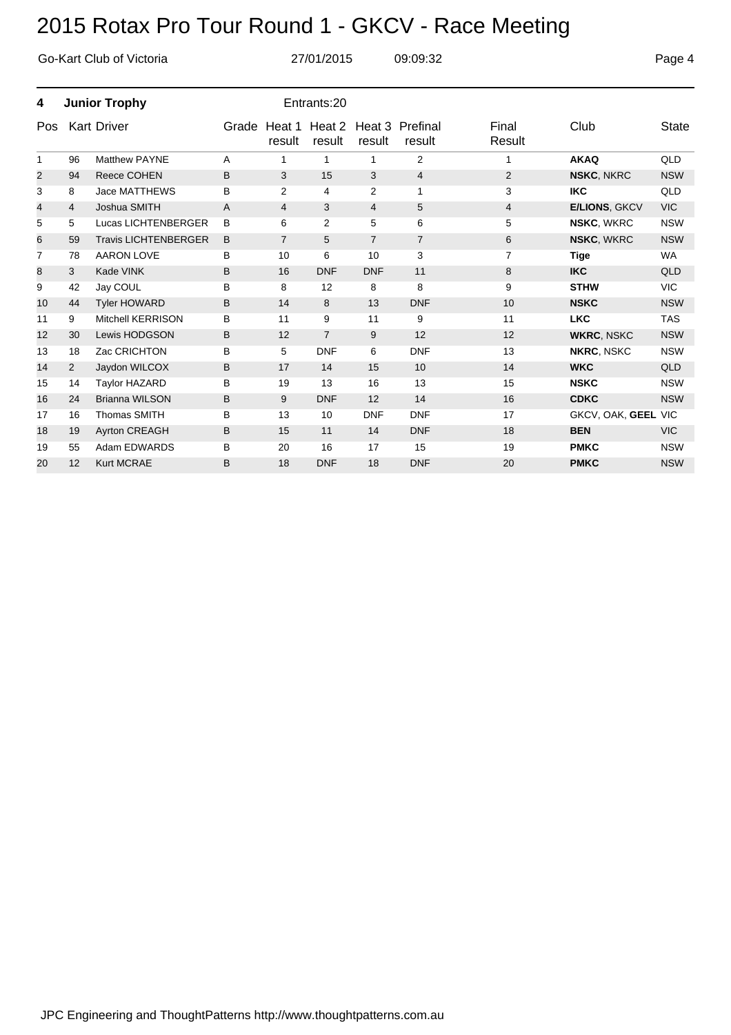|     |    | Go-Kart Club of Victoria    |       |                  | 27/01/2015       | 09:09:32       |                           |                 | Page 4               |              |
|-----|----|-----------------------------|-------|------------------|------------------|----------------|---------------------------|-----------------|----------------------|--------------|
| 4   |    | <b>Junior Trophy</b>        |       |                  | Entrants:20      |                |                           |                 |                      |              |
| Pos |    | <b>Kart Driver</b>          | Grade | Heat 1<br>result | Heat 2<br>result | result         | Heat 3 Prefinal<br>result | Final<br>Result | Club                 | <b>State</b> |
| 1   | 96 | <b>Matthew PAYNE</b>        | A     | 1                | 1                | 1              | $\overline{2}$            | 1               | <b>AKAQ</b>          | QLD          |
| 2   | 94 | <b>Reece COHEN</b>          | B     | 3                | 15               | 3              | $\overline{4}$            | 2               | <b>NSKC, NKRC</b>    | <b>NSW</b>   |
| 3   | 8  | Jace MATTHEWS               | B     | $\overline{2}$   | 4                | 2              | $\mathbf{1}$              | 3               | <b>IKC</b>           | QLD          |
| 4   | 4  | Joshua SMITH                | A     | 4                | 3                | $\overline{4}$ | 5                         | 4               | <b>E/LIONS, GKCV</b> | <b>VIC</b>   |
| 5   | 5  | Lucas LICHTENBERGER         | B     | 6                | $\overline{2}$   | 5              | 6                         | 5               | <b>NSKC, WKRC</b>    | <b>NSW</b>   |
| 6   | 59 | <b>Travis LICHTENBERGER</b> | B     | $\overline{7}$   | 5                | $\overline{7}$ | $\overline{7}$            | 6               | <b>NSKC, WKRC</b>    | <b>NSW</b>   |
| 7   | 78 | <b>AARON LOVE</b>           | В     | 10               | 6                | 10             | 3                         | 7               | <b>Tige</b>          | <b>WA</b>    |
| 8   | 3  | Kade VINK                   | B     | 16               | <b>DNF</b>       | <b>DNF</b>     | 11                        | 8               | <b>IKC</b>           | QLD          |
| 9   | 42 | Jay COUL                    | В     | 8                | 12               | 8              | 8                         | 9               | <b>STHW</b>          | <b>VIC</b>   |
| 10  | 44 | <b>Tyler HOWARD</b>         | B     | 14               | 8                | 13             | <b>DNF</b>                | 10              | <b>NSKC</b>          | <b>NSW</b>   |
| 11  | 9  | <b>Mitchell KERRISON</b>    | B     | 11               | 9                | 11             | 9                         | 11              | <b>LKC</b>           | <b>TAS</b>   |
| 12  | 30 | Lewis HODGSON               | B     | 12               | $\overline{7}$   | 9              | 12                        | 12              | <b>WKRC, NSKC</b>    | <b>NSW</b>   |
| 13  | 18 | Zac CRICHTON                | B     | 5                | <b>DNF</b>       | 6              | <b>DNF</b>                | 13              | <b>NKRC, NSKC</b>    | <b>NSW</b>   |
| 14  | 2  | Jaydon WILCOX               | B     | 17               | 14               | 15             | 10                        | 14              | <b>WKC</b>           | QLD          |
| 15  | 14 | <b>Taylor HAZARD</b>        | B     | 19               | 13               | 16             | 13                        | 15              | <b>NSKC</b>          | <b>NSW</b>   |
| 16  | 24 | <b>Brianna WILSON</b>       | B     | 9                | <b>DNF</b>       | 12             | 14                        | 16              | <b>CDKC</b>          | <b>NSW</b>   |
| 17  | 16 | <b>Thomas SMITH</b>         | B     | 13               | 10               | <b>DNF</b>     | <b>DNF</b>                | 17              | GKCV, OAK, GEEL VIC  |              |
| 18  | 19 | <b>Ayrton CREAGH</b>        | B     | 15               | 11               | 14             | <b>DNF</b>                | 18              | <b>BEN</b>           | <b>VIC</b>   |
| 19  | 55 | Adam EDWARDS                | B     | 20               | 16               | 17             | 15                        | 19              | <b>PMKC</b>          | <b>NSW</b>   |
| 20  | 12 | <b>Kurt MCRAE</b>           | B     | 18               | <b>DNF</b>       | 18             | <b>DNF</b>                | 20              | <b>PMKC</b>          | <b>NSW</b>   |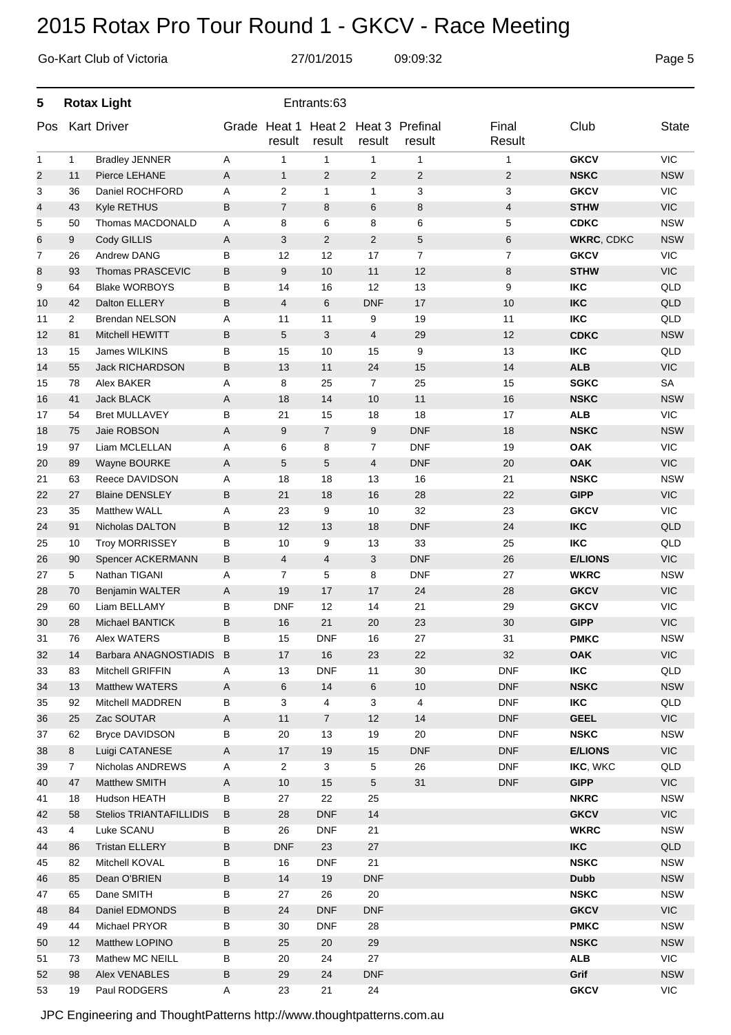|                |    | Go-Kart Club of Victoria |   |                | 27/01/2015                    |                          | 09:09:32                  |                 |                   | Page 5       |
|----------------|----|--------------------------|---|----------------|-------------------------------|--------------------------|---------------------------|-----------------|-------------------|--------------|
| 5              |    | <b>Rotax Light</b>       |   |                | Entrants:63                   |                          |                           |                 |                   |              |
| Pos            |    | <b>Kart Driver</b>       |   | result         | Grade Heat 1 Heat 2<br>result | result                   | Heat 3 Prefinal<br>result | Final<br>Result | Club              | <b>State</b> |
| $\mathbf{1}$   | 1  | <b>Bradley JENNER</b>    | Α | 1              | $\mathbf{1}$                  | $\mathbf{1}$             | $\mathbf{1}$              | $\mathbf{1}$    | <b>GKCV</b>       | <b>VIC</b>   |
| $\overline{c}$ | 11 | Pierce LEHANE            | Α | $\mathbf{1}$   | $\overline{2}$                | $\overline{2}$           | $\overline{c}$            | $\overline{c}$  | <b>NSKC</b>       | <b>NSW</b>   |
| 3              | 36 | Daniel ROCHFORD          | Α | $\overline{c}$ | $\mathbf{1}$                  | $\mathbf{1}$             | 3                         | 3               | <b>GKCV</b>       | <b>VIC</b>   |
| 4              | 43 | Kyle RETHUS              | B | $\overline{7}$ | 8                             | 6                        | 8                         | 4               | <b>STHW</b>       | <b>VIC</b>   |
| 5              | 50 | Thomas MACDONALD         | Α | 8              | 6                             | 8                        | 6                         | 5               | <b>CDKC</b>       | <b>NSW</b>   |
| 6              | 9  | Cody GILLIS              | Α | 3              | 2                             | $\overline{2}$           | 5                         | 6               | <b>WKRC, CDKC</b> | <b>NSW</b>   |
| $\overline{7}$ | 26 | Andrew DANG              | В | 12             | 12                            | 17                       | $\overline{7}$            | $\overline{7}$  | <b>GKCV</b>       | <b>VIC</b>   |
| 8              | 93 | Thomas PRASCEVIC         | B | 9              | 10                            | 11                       | 12                        | 8               | <b>STHW</b>       | <b>VIC</b>   |
| 9              | 64 | <b>Blake WORBOYS</b>     | В | 14             | 16                            | 12                       | 13                        | 9               | <b>IKC</b>        | QLD          |
| 10             | 42 | Dalton ELLERY            | B | 4              | 6                             | <b>DNF</b>               | 17                        | 10              | <b>IKC</b>        | QLD          |
| 11             | 2  | Brendan NELSON           | Α | 11             | 11                            | 9                        | 19                        | 11              | <b>IKC</b>        | QLD          |
| 12             | 81 | Mitchell HEWITT          | B | 5              | 3                             | $\overline{\mathcal{L}}$ | 29                        | 12              | <b>CDKC</b>       | <b>NSW</b>   |
| 13             | 15 | James WILKINS            | В | 15             | 10                            | 15                       | 9                         | 13              | <b>IKC</b>        | QLD          |
| 14             | 55 | <b>Jack RICHARDSON</b>   | B | 13             | 11                            | 24                       | 15                        | 14              | <b>ALB</b>        | <b>VIC</b>   |
| 15             | 78 | Alex BAKER               | A | 8              | 25                            | $\overline{7}$           | 25                        | 15              | <b>SGKC</b>       | <b>SA</b>    |
| 16             | 41 | <b>Jack BLACK</b>        | Α | 18             | 14                            | 10                       | 11                        | 16              | <b>NSKC</b>       | <b>NSW</b>   |
| 17             | 54 | <b>Bret MULLAVEY</b>     | B | 21             | 15                            | 18                       | 18                        | 17              | <b>ALB</b>        | <b>VIC</b>   |
| 18             | 75 | Jaie ROBSON              | Α | 9              | $\overline{7}$                | 9                        | <b>DNF</b>                | 18              | <b>NSKC</b>       | <b>NSW</b>   |
| 19             | 97 | Liam MCLELLAN            | Α | 6              | 8                             | $\overline{7}$           | <b>DNF</b>                | 19              | <b>OAK</b>        | <b>VIC</b>   |
| 20             | 89 | Wayne BOURKE             | Α | 5              | 5                             | 4                        | <b>DNF</b>                | 20              | <b>OAK</b>        | <b>VIC</b>   |
| 21             | 63 | Reece DAVIDSON           | Α | 18             | 18                            | 13                       | 16                        | 21              | <b>NSKC</b>       | <b>NSW</b>   |
| 22             | 27 | <b>Blaine DENSLEY</b>    | В | 21             | 18                            | 16                       | 28                        | 22              | <b>GIPP</b>       | <b>VIC</b>   |
| 23             | 35 | <b>Matthew WALL</b>      | Α | 23             | 9                             | 10                       | 32                        | 23              | <b>GKCV</b>       | <b>VIC</b>   |
| 24             | 91 | Nicholas DALTON          | B | 12             | 13                            | 18                       | <b>DNF</b>                | 24              | <b>IKC</b>        | <b>QLD</b>   |
| 25             | 10 | <b>Troy MORRISSEY</b>    | В | 10             | 9                             | 13                       | 33                        | 25              | <b>IKC</b>        | QLD          |
| 26             | 90 | Spencer ACKERMANN        | B | 4              | $\overline{4}$                | 3                        | <b>DNF</b>                | 26              | <b>E/LIONS</b>    | <b>VIC</b>   |
| 27             | 5  | Nathan TIGANI            | A | 7              | 5                             | 8                        | <b>DNF</b>                | 27              | <b>WKRC</b>       | <b>NSW</b>   |
| 28             | 70 | Benjamin WALTER          | Α | 19             | 17                            | 17                       | 24                        | 28              | <b>GKCV</b>       | <b>VIC</b>   |
| 29             | 60 | Liam BELLAMY             | В | <b>DNF</b>     | 12                            | 14                       | 21                        | 29              | <b>GKCV</b>       | <b>VIC</b>   |
| 30             | 28 | Michael BANTICK          | B | 16             | 21                            | 20                       | 23                        | $30\,$          | <b>GIPP</b>       | <b>VIC</b>   |
| 31             | 76 | <b>Alex WATERS</b>       | В | 15             | <b>DNF</b>                    | 16                       | 27                        | 31              | <b>PMKC</b>       | <b>NSW</b>   |
| 32             | 14 | Barbara ANAGNOSTIADIS    | B | 17             | 16                            | 23                       | 22                        | 32              | <b>OAK</b>        | <b>VIC</b>   |
| 33             | 83 | Mitchell GRIFFIN         | A | 13             | <b>DNF</b>                    | 11                       | $30\,$                    | <b>DNF</b>      | <b>IKC</b>        | QLD          |
| 34             | 13 | <b>Matthew WATERS</b>    | A | 6              | 14                            | 6                        | $10$                      | <b>DNF</b>      | <b>NSKC</b>       | <b>NSW</b>   |
| 35             | 92 | Mitchell MADDREN         | В | 3              | 4                             | 3                        | $\overline{4}$            | <b>DNF</b>      | <b>IKC</b>        | QLD          |
| 36             | 25 | Zac SOUTAR               | A | 11             | $\overline{7}$                | 12                       | 14                        | <b>DNF</b>      | <b>GEEL</b>       | <b>VIC</b>   |
| 37             | 62 | <b>Bryce DAVIDSON</b>    | B | 20             | 13                            | 19                       | 20                        | <b>DNF</b>      | <b>NSKC</b>       | <b>NSW</b>   |
| 38             | 8  | Luigi CATANESE           | A | 17             | 19                            | 15                       | <b>DNF</b>                | <b>DNF</b>      | <b>E/LIONS</b>    | <b>VIC</b>   |
| 39             | 7  | Nicholas ANDREWS         | A | $\overline{2}$ | 3                             | 5                        | 26                        | <b>DNF</b>      | IKC, WKC          | QLD          |
| 40             | 47 | Matthew SMITH            | A | 10             | 15                            | $\,$ 5 $\,$              | 31                        | <b>DNF</b>      | <b>GIPP</b>       | <b>VIC</b>   |
| 41             | 18 | Hudson HEATH             | В | 27             | 22                            | 25                       |                           |                 | <b>NKRC</b>       | <b>NSW</b>   |
| 42             | 58 | Stelios TRIANTAFILLIDIS  | В | 28             | <b>DNF</b>                    | 14                       |                           |                 | <b>GKCV</b>       | <b>VIC</b>   |
| 43             | 4  | Luke SCANU               | В | 26             | <b>DNF</b>                    | 21                       |                           |                 | <b>WKRC</b>       | <b>NSW</b>   |
| 44             | 86 | <b>Tristan ELLERY</b>    | В | <b>DNF</b>     | 23                            | 27                       |                           |                 | <b>IKC</b>        | QLD          |
| 45             | 82 | Mitchell KOVAL           | В | 16             | <b>DNF</b>                    | 21                       |                           |                 | <b>NSKC</b>       | <b>NSW</b>   |
| 46             | 85 | Dean O'BRIEN             | B | 14             | 19                            | <b>DNF</b>               |                           |                 | <b>Dubb</b>       | <b>NSW</b>   |
| 47             | 65 | Dane SMITH               | В | 27             | 26                            | 20                       |                           |                 | <b>NSKC</b>       | <b>NSW</b>   |
| 48             | 84 | Daniel EDMONDS           | B | 24             | <b>DNF</b>                    | <b>DNF</b>               |                           |                 | <b>GKCV</b>       | <b>VIC</b>   |
| 49             | 44 | Michael PRYOR            | B | 30             | <b>DNF</b>                    | 28                       |                           |                 | <b>PMKC</b>       | <b>NSW</b>   |
| 50             | 12 | Matthew LOPINO           | B | 25             | 20                            | 29                       |                           |                 | <b>NSKC</b>       | <b>NSW</b>   |
| 51             | 73 | Mathew MC NEILL          | B | 20             | 24                            | 27                       |                           |                 | <b>ALB</b>        | VIC          |
| 52             | 98 | Alex VENABLES            | B | 29             | 24                            | <b>DNF</b>               |                           |                 | Grif              | <b>NSW</b>   |
| 53             | 19 | Paul RODGERS             | A | 23             | 21                            | 24                       |                           |                 | <b>GKCV</b>       | <b>VIC</b>   |
|                |    |                          |   |                |                               |                          |                           |                 |                   |              |

JPC Engineering and ThoughtPatterns http://www.thoughtpatterns.com.au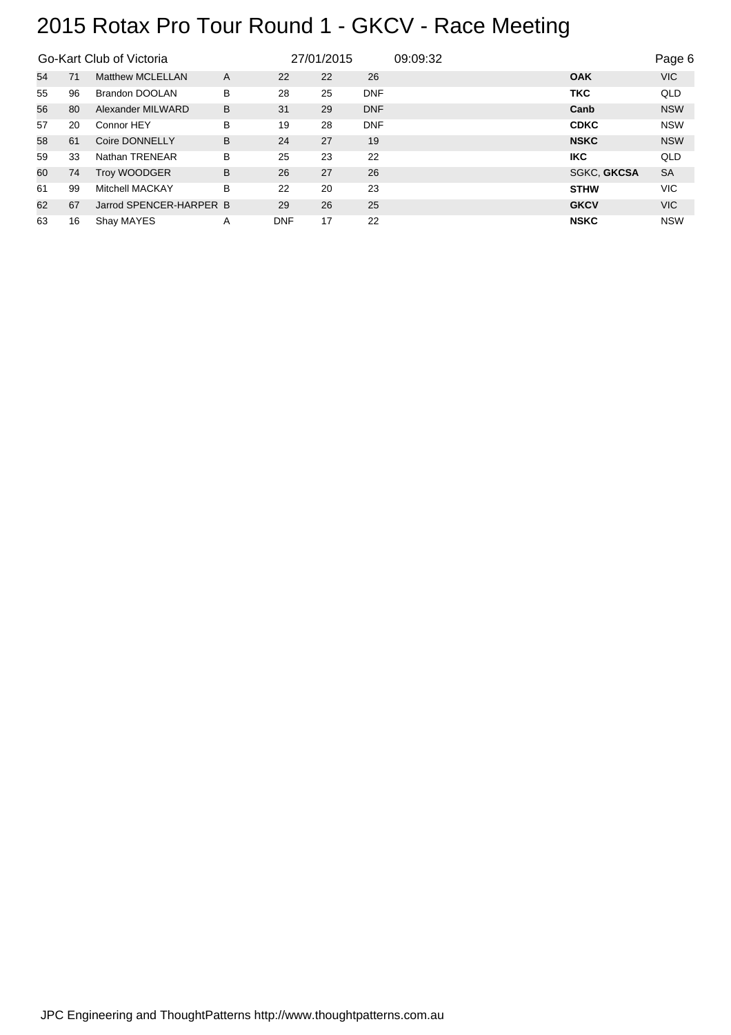|    |    | Go-Kart Club of Victoria |   | 27/01/2015 |    |            | 09:09:32 |                    | Page 6     |
|----|----|--------------------------|---|------------|----|------------|----------|--------------------|------------|
| 54 | 71 | Matthew MCLELLAN         | A | 22         | 22 | 26         |          | <b>OAK</b>         | <b>VIC</b> |
| 55 | 96 | Brandon DOOLAN           | B | 28         | 25 | <b>DNF</b> |          | <b>TKC</b>         | <b>QLD</b> |
| 56 | 80 | Alexander MILWARD        | B | 31         | 29 | <b>DNF</b> |          | Canb               | <b>NSW</b> |
| 57 | 20 | Connor HEY               | в | 19         | 28 | <b>DNF</b> |          | <b>CDKC</b>        | <b>NSW</b> |
| 58 | 61 | Coire DONNELLY           | B | 24         | 27 | 19         |          | <b>NSKC</b>        | <b>NSW</b> |
| 59 | 33 | Nathan TRENEAR           | B | 25         | 23 | 22         |          | <b>IKC</b>         | <b>QLD</b> |
| 60 | 74 | <b>Troy WOODGER</b>      | B | 26         | 27 | 26         |          | <b>SGKC, GKCSA</b> | <b>SA</b>  |
| 61 | 99 | <b>Mitchell MACKAY</b>   | B | 22         | 20 | 23         |          | <b>STHW</b>        | <b>VIC</b> |
| 62 | 67 | Jarrod SPENCER-HARPER B  |   | 29         | 26 | 25         |          | <b>GKCV</b>        | VIC.       |
| 63 | 16 | Shay MAYES               | A | <b>DNF</b> | 17 | 22         |          | <b>NSKC</b>        | <b>NSW</b> |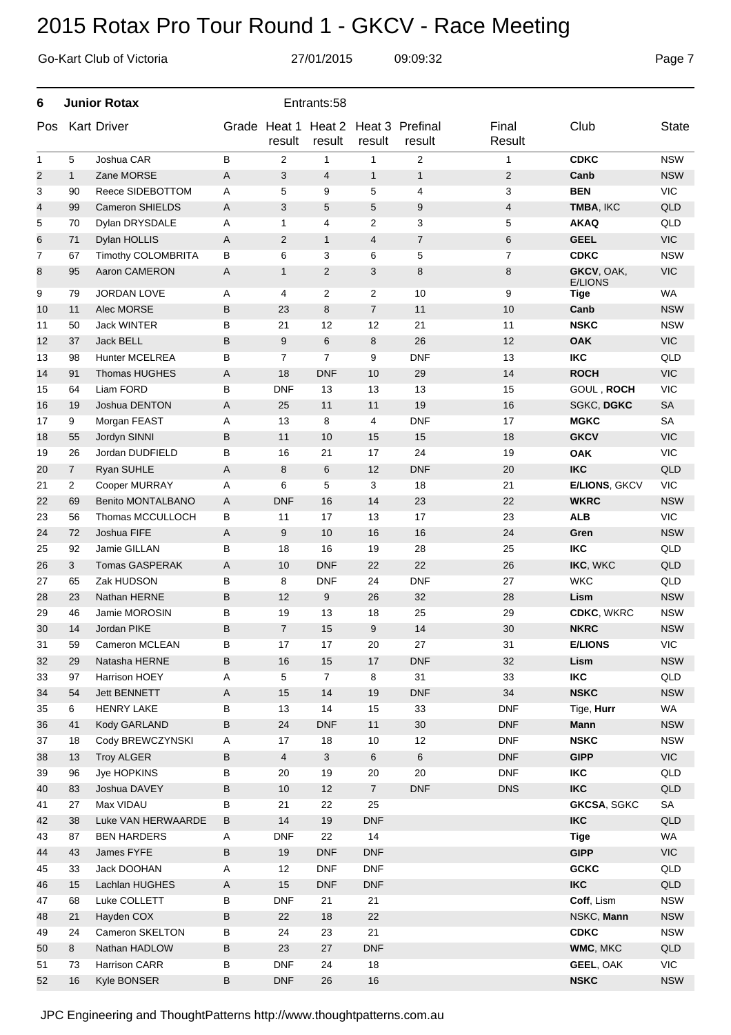|              |              | Go-Kart Club of Victoria | 27/01/2015<br>09:09:32 |                        |                  |                |                           |                 |                               |              |  |  |  |
|--------------|--------------|--------------------------|------------------------|------------------------|------------------|----------------|---------------------------|-----------------|-------------------------------|--------------|--|--|--|
| 6            |              | <b>Junior Rotax</b>      |                        | Entrants:58            |                  |                |                           |                 |                               |              |  |  |  |
| Pos          |              | <b>Kart Driver</b>       |                        | Grade Heat 1<br>result | Heat 2<br>result | result         | Heat 3 Prefinal<br>result | Final<br>Result | Club                          | <b>State</b> |  |  |  |
| $\mathbf{1}$ | 5            | Joshua CAR               | В                      | 2                      | 1                | $\mathbf{1}$   | 2                         | $\mathbf{1}$    | <b>CDKC</b>                   | <b>NSW</b>   |  |  |  |
| 2            | $\mathbf{1}$ | Zane MORSE               | Α                      | 3                      | $\overline{4}$   | $\mathbf{1}$   | $\mathbf{1}$              | 2               | Canb                          | <b>NSW</b>   |  |  |  |
| 3            | 90           | Reece SIDEBOTTOM         | A                      | 5                      | 9                | 5              | 4                         | 3               | <b>BEN</b>                    | <b>VIC</b>   |  |  |  |
| 4            | 99           | <b>Cameron SHIELDS</b>   | A                      | 3                      | 5                | 5              | 9                         | 4               | TMBA, IKC                     | QLD          |  |  |  |
| 5            | 70           | Dylan DRYSDALE           | Α                      | 1                      | $\overline{4}$   | $\overline{2}$ | 3                         | 5               | <b>AKAQ</b>                   | QLD          |  |  |  |
| 6            | 71           | Dylan HOLLIS             | Α                      | $\overline{c}$         | $\mathbf{1}$     | 4              | $\overline{7}$            | 6               | <b>GEEL</b>                   | <b>VIC</b>   |  |  |  |
| 7            | 67           | Timothy COLOMBRITA       | В                      | 6                      | 3                | 6              | 5                         | 7               | <b>CDKC</b>                   | <b>NSW</b>   |  |  |  |
| 8            | 95           | Aaron CAMERON            | Α                      | $\mathbf{1}$           | 2                | 3              | 8                         | 8               | GKCV, OAK,                    | <b>VIC</b>   |  |  |  |
| 9            | 79           | <b>JORDAN LOVE</b>       | A                      | 4                      | 2                | 2              | 10                        | 9               | <b>E/LIONS</b><br><b>Tige</b> | <b>WA</b>    |  |  |  |
| 10           | 11           | Alec MORSE               | B                      | 23                     | 8                | $\overline{7}$ | 11                        | 10              | Canb                          | <b>NSW</b>   |  |  |  |
| 11           | 50           | <b>Jack WINTER</b>       | В                      | 21                     | 12               | 12             | 21                        | 11              | <b>NSKC</b>                   | <b>NSW</b>   |  |  |  |
| 12           | 37           | Jack BELL                | B                      | 9                      | 6                | 8              | 26                        | 12              | <b>OAK</b>                    | <b>VIC</b>   |  |  |  |
| 13           | 98           | <b>Hunter MCELREA</b>    | В                      | 7                      | $\overline{7}$   | 9              | <b>DNF</b>                | 13              | <b>IKC</b>                    | QLD          |  |  |  |
| 14           | 91           | <b>Thomas HUGHES</b>     | Α                      | 18                     | <b>DNF</b>       | 10             | 29                        | 14              | <b>ROCH</b>                   | <b>VIC</b>   |  |  |  |
| 15           | 64           | Liam FORD                | В                      | <b>DNF</b>             | 13               | 13             | 13                        | 15              | GOUL, ROCH                    | <b>VIC</b>   |  |  |  |
| 16           | 19           | Joshua DENTON            | Α                      | 25                     | 11               | 11             | 19                        | 16              | SGKC, DGKC                    | <b>SA</b>    |  |  |  |
| 17           | 9            | Morgan FEAST             | Α                      | 13                     | 8                | 4              | <b>DNF</b>                | 17              | <b>MGKC</b>                   | <b>SA</b>    |  |  |  |
| 18           | 55           | Jordyn SINNI             | B                      | 11                     | 10               | 15             | 15                        | 18              | <b>GKCV</b>                   | <b>VIC</b>   |  |  |  |
| 19           | 26           | Jordan DUDFIELD          | В                      | 16                     | 21               | 17             | 24                        | 19              | <b>OAK</b>                    | <b>VIC</b>   |  |  |  |
| 20           | 7            | Ryan SUHLE               | Α                      | 8                      | 6                | 12             | <b>DNF</b>                | 20              | <b>IKC</b>                    | QLD          |  |  |  |
| 21           | 2            | Cooper MURRAY            | Α                      | 6                      | 5                | 3              | 18                        | 21              | <b>E/LIONS, GKCV</b>          | <b>VIC</b>   |  |  |  |
| 22           | 69           | <b>Benito MONTALBANO</b> | A                      | <b>DNF</b>             | 16               | 14             | 23                        | 22              | <b>WKRC</b>                   | <b>NSW</b>   |  |  |  |
| 23           | 56           | Thomas MCCULLOCH         | В                      | 11                     | 17               | 13             | 17                        | 23              | <b>ALB</b>                    | <b>VIC</b>   |  |  |  |
| 24           | 72           | Joshua FIFE              | Α                      | 9                      | 10               | 16             | 16                        | 24              | Gren                          | <b>NSW</b>   |  |  |  |
| 25           | 92           | Jamie GILLAN             | в                      | 18                     | 16               | 19             | 28                        | 25              | <b>IKC</b>                    | QLD          |  |  |  |
| 26           | 3            | <b>Tomas GASPERAK</b>    | Α                      | 10                     | <b>DNF</b>       | 22             | 22                        | 26              | IKC, WKC                      | QLD          |  |  |  |
| 27           | 65           | Zak HUDSON               | B                      | 8                      | <b>DNF</b>       | 24             | <b>DNF</b>                | 27              | <b>WKC</b>                    | QLD          |  |  |  |
| 28           | 23           | Nathan HERNE             | B                      | 12                     | 9                | 26             | 32                        | 28              | Lism                          | <b>NSW</b>   |  |  |  |
| 29           | 46           | Jamie MOROSIN            | В                      | 19                     | 13               | 18             | 25                        | 29              | CDKC, WKRC                    | <b>NSW</b>   |  |  |  |
| 30           | 14           | Jordan PIKE              | B                      | $\overline{7}$         | 15               | 9              | 14                        | 30              | <b>NKRC</b>                   | <b>NSW</b>   |  |  |  |
| 31           | 59           | Cameron MCLEAN           | В                      | 17                     | 17               | 20             | 27                        | 31              | <b>E/LIONS</b>                | VIC          |  |  |  |
| 32           | 29           | Natasha HERNE            | B                      | 16                     | 15               | $17$           | <b>DNF</b>                | 32              | Lism                          | <b>NSW</b>   |  |  |  |
| 33           | 97           | Harrison HOEY            | A                      | 5                      | $\overline{7}$   | 8              | 31                        | 33              | <b>IKC</b>                    | QLD          |  |  |  |
| 34           | 54           | Jett BENNETT             | A                      | 15                     | 14               | 19             | <b>DNF</b>                | 34              | <b>NSKC</b>                   | <b>NSW</b>   |  |  |  |
| 35           | 6            | <b>HENRY LAKE</b>        | B                      | 13                     | 14               | 15             | 33                        | <b>DNF</b>      | Tige, Hurr                    | <b>WA</b>    |  |  |  |
| 36           | 41           | Kody GARLAND             | B                      | 24                     | <b>DNF</b>       | 11             | 30                        | <b>DNF</b>      | Mann                          | <b>NSW</b>   |  |  |  |
| 37           | 18           | Cody BREWCZYNSKI         | Α                      | 17                     | 18               | 10             | 12                        | <b>DNF</b>      | <b>NSKC</b>                   | <b>NSW</b>   |  |  |  |
| 38           | 13           | <b>Troy ALGER</b>        | B                      | $\overline{4}$         | $\mathbf{3}$     | $\,6$          | $6\phantom{.}6$           | <b>DNF</b>      | <b>GIPP</b>                   | VIC          |  |  |  |
| 39           | 96           | Jye HOPKINS              | В                      | 20                     | 19               | 20             | 20                        | <b>DNF</b>      | <b>IKC</b>                    | QLD          |  |  |  |
| 40           | 83           | Joshua DAVEY             | B                      | $10$                   | 12               | $\overline{7}$ | <b>DNF</b>                | <b>DNS</b>      | <b>IKC</b>                    | QLD          |  |  |  |
| 41           | 27           | Max VIDAU                | В                      | 21                     | 22               | 25             |                           |                 | <b>GKCSA, SGKC</b>            | SA           |  |  |  |
| 42           | 38           | Luke VAN HERWAARDE       | B                      | 14                     | 19               | <b>DNF</b>     |                           |                 | <b>IKC</b>                    | QLD          |  |  |  |
| 43           | 87           | <b>BEN HARDERS</b>       | A                      | <b>DNF</b>             | 22               | 14             |                           |                 | <b>Tige</b>                   | WA           |  |  |  |
| 44           | 43           | James FYFE               | B                      | 19                     | <b>DNF</b>       | <b>DNF</b>     |                           |                 | <b>GIPP</b>                   | VIC          |  |  |  |
| 45           | 33           | Jack DOOHAN              | A                      | 12                     | <b>DNF</b>       | <b>DNF</b>     |                           |                 | <b>GCKC</b>                   | QLD          |  |  |  |
| 46           | 15           | Lachlan HUGHES           | A                      | 15                     | <b>DNF</b>       | <b>DNF</b>     |                           |                 | <b>IKC</b>                    | QLD          |  |  |  |
| 47           | 68           | Luke COLLETT             | В                      | <b>DNF</b>             | 21               | 21             |                           |                 | Coff, Lism                    | <b>NSW</b>   |  |  |  |
| 48           | 21           | Hayden COX               | B                      | 22                     | 18               | 22             |                           |                 | NSKC, Mann                    | <b>NSW</b>   |  |  |  |
| 49           | 24           | Cameron SKELTON          | B                      | 24                     | 23               | 21             |                           |                 | <b>CDKC</b>                   | <b>NSW</b>   |  |  |  |
| 50           | 8            | Nathan HADLOW            | B                      | 23                     | 27               | <b>DNF</b>     |                           |                 | WMC, MKC                      | QLD          |  |  |  |
| 51           | 73           | Harrison CARR            | В                      | <b>DNF</b>             | 24               | 18             |                           |                 | GEEL, OAK                     | <b>VIC</b>   |  |  |  |
| 52           | 16           | Kyle BONSER              | B                      | <b>DNF</b>             | 26               | $16$           |                           |                 | <b>NSKC</b>                   | <b>NSW</b>   |  |  |  |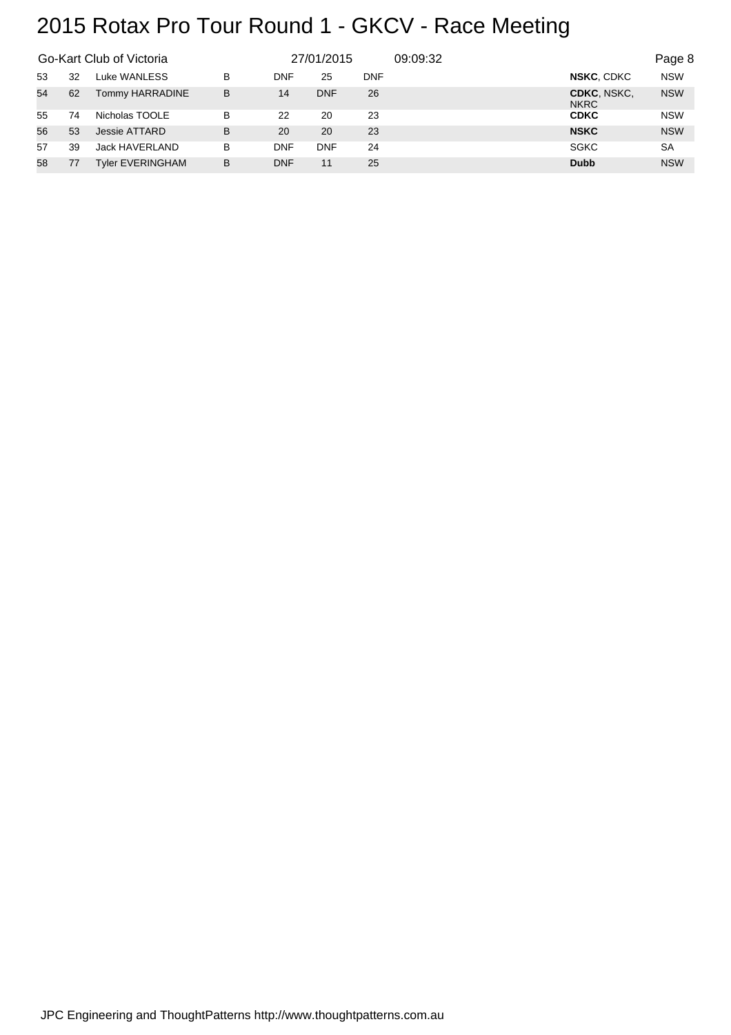|    |    | Go-Kart Club of Victoria |   | 27/01/2015 |            |            | 09:09:32 |                            | Page 8     |
|----|----|--------------------------|---|------------|------------|------------|----------|----------------------------|------------|
| 53 | 32 | Luke WANLESS             | B | DNF        | 25         | <b>DNF</b> |          | NSKC, CDKC                 | <b>NSW</b> |
| 54 | 62 | Tommy HARRADINE          | B | 14         | <b>DNF</b> | 26         |          | CDKC, NSKC.<br><b>NKRC</b> | <b>NSW</b> |
| 55 | 74 | Nicholas TOOLE           | B | 22         | 20         | 23         |          | <b>CDKC</b>                | <b>NSW</b> |
| 56 | 53 | Jessie ATTARD            | B | 20         | 20         | 23         |          | <b>NSKC</b>                | <b>NSW</b> |
| 57 | 39 | Jack HAVERLAND           | в | <b>DNF</b> | <b>DNF</b> | 24         |          | <b>SGKC</b>                | SA         |
| 58 | 77 | <b>Tyler EVERINGHAM</b>  | B | <b>DNF</b> | 11         | 25         |          | <b>Dubb</b>                | <b>NSW</b> |